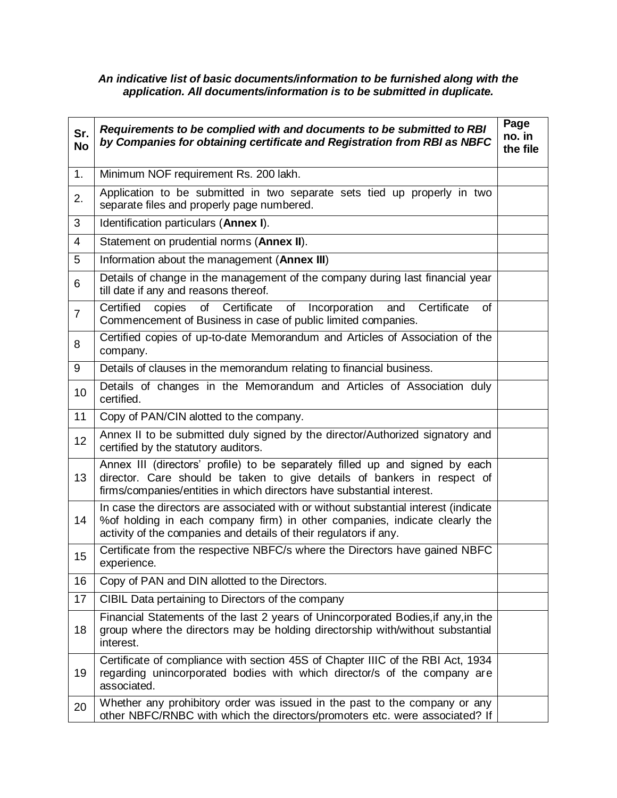## *An indicative list of basic documents/information to be furnished along with the application. All documents/information is to be submitted in duplicate.*

| Sr.<br><b>No</b> | Requirements to be complied with and documents to be submitted to RBI<br>by Companies for obtaining certificate and Registration from RBI as NBFC                                                                                       | Page<br>no. in<br>the file |
|------------------|-----------------------------------------------------------------------------------------------------------------------------------------------------------------------------------------------------------------------------------------|----------------------------|
| 1.               | Minimum NOF requirement Rs. 200 lakh.                                                                                                                                                                                                   |                            |
| 2.               | Application to be submitted in two separate sets tied up properly in two<br>separate files and properly page numbered.                                                                                                                  |                            |
| 3                | Identification particulars (Annex I).                                                                                                                                                                                                   |                            |
| $\overline{4}$   | Statement on prudential norms (Annex II).                                                                                                                                                                                               |                            |
| 5                | Information about the management (Annex III)                                                                                                                                                                                            |                            |
| 6                | Details of change in the management of the company during last financial year<br>till date if any and reasons thereof.                                                                                                                  |                            |
| $\overline{7}$   | Certified copies<br>of Certificate<br>of<br>Incorporation<br>and Certificate<br>of<br>Commencement of Business in case of public limited companies.                                                                                     |                            |
| 8                | Certified copies of up-to-date Memorandum and Articles of Association of the<br>company.                                                                                                                                                |                            |
| 9                | Details of clauses in the memorandum relating to financial business.                                                                                                                                                                    |                            |
| 10               | Details of changes in the Memorandum and Articles of Association duly<br>certified.                                                                                                                                                     |                            |
| 11               | Copy of PAN/CIN alotted to the company.                                                                                                                                                                                                 |                            |
| 12               | Annex II to be submitted duly signed by the director/Authorized signatory and<br>certified by the statutory auditors.                                                                                                                   |                            |
| 13               | Annex III (directors' profile) to be separately filled up and signed by each<br>director. Care should be taken to give details of bankers in respect of<br>firms/companies/entities in which directors have substantial interest.       |                            |
| 14               | In case the directors are associated with or without substantial interest (indicate<br>% of holding in each company firm) in other companies, indicate clearly the<br>activity of the companies and details of their regulators if any. |                            |
| 15               | Certificate from the respective NBFC/s where the Directors have gained NBFC<br>experience.                                                                                                                                              |                            |
| 16               | Copy of PAN and DIN allotted to the Directors.                                                                                                                                                                                          |                            |
| 17               | CIBIL Data pertaining to Directors of the company                                                                                                                                                                                       |                            |
| 18               | Financial Statements of the last 2 years of Unincorporated Bodies, if any, in the<br>group where the directors may be holding directorship with/without substantial<br>interest.                                                        |                            |
| 19               | Certificate of compliance with section 45S of Chapter IIIC of the RBI Act, 1934<br>regarding unincorporated bodies with which director/s of the company are<br>associated.                                                              |                            |
| 20               | Whether any prohibitory order was issued in the past to the company or any<br>other NBFC/RNBC with which the directors/promoters etc. were associated? If                                                                               |                            |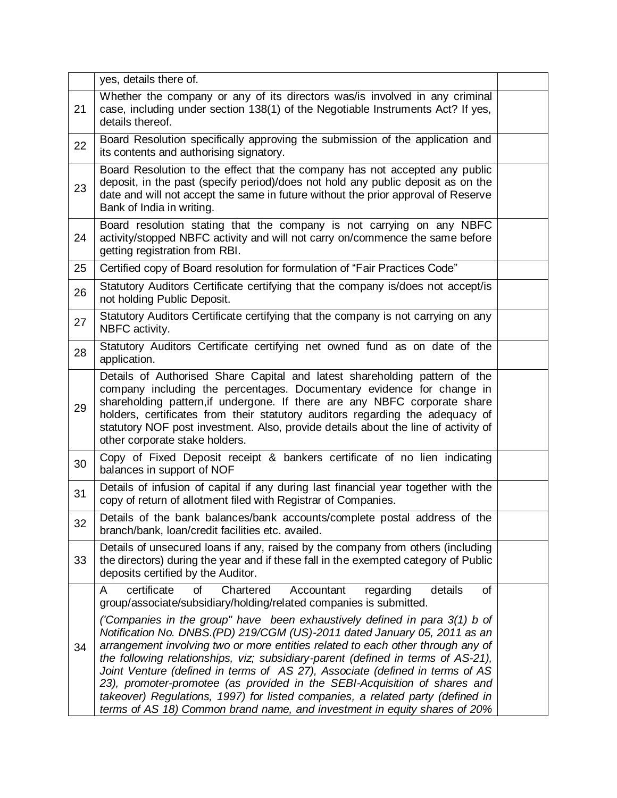|    | yes, details there of.                                                                                                                                                                                                                                                                                                                                                                                                                                                                                                                                                                                                                                                                                                                 |  |
|----|----------------------------------------------------------------------------------------------------------------------------------------------------------------------------------------------------------------------------------------------------------------------------------------------------------------------------------------------------------------------------------------------------------------------------------------------------------------------------------------------------------------------------------------------------------------------------------------------------------------------------------------------------------------------------------------------------------------------------------------|--|
| 21 | Whether the company or any of its directors was/is involved in any criminal<br>case, including under section 138(1) of the Negotiable Instruments Act? If yes,<br>details thereof.                                                                                                                                                                                                                                                                                                                                                                                                                                                                                                                                                     |  |
| 22 | Board Resolution specifically approving the submission of the application and<br>its contents and authorising signatory.                                                                                                                                                                                                                                                                                                                                                                                                                                                                                                                                                                                                               |  |
| 23 | Board Resolution to the effect that the company has not accepted any public<br>deposit, in the past (specify period)/does not hold any public deposit as on the<br>date and will not accept the same in future without the prior approval of Reserve<br>Bank of India in writing.                                                                                                                                                                                                                                                                                                                                                                                                                                                      |  |
| 24 | Board resolution stating that the company is not carrying on any NBFC<br>activity/stopped NBFC activity and will not carry on/commence the same before<br>getting registration from RBI.                                                                                                                                                                                                                                                                                                                                                                                                                                                                                                                                               |  |
| 25 | Certified copy of Board resolution for formulation of "Fair Practices Code"                                                                                                                                                                                                                                                                                                                                                                                                                                                                                                                                                                                                                                                            |  |
| 26 | Statutory Auditors Certificate certifying that the company is/does not accept/is<br>not holding Public Deposit.                                                                                                                                                                                                                                                                                                                                                                                                                                                                                                                                                                                                                        |  |
| 27 | Statutory Auditors Certificate certifying that the company is not carrying on any<br>NBFC activity.                                                                                                                                                                                                                                                                                                                                                                                                                                                                                                                                                                                                                                    |  |
| 28 | Statutory Auditors Certificate certifying net owned fund as on date of the<br>application.                                                                                                                                                                                                                                                                                                                                                                                                                                                                                                                                                                                                                                             |  |
| 29 | Details of Authorised Share Capital and latest shareholding pattern of the<br>company including the percentages. Documentary evidence for change in<br>shareholding pattern, if undergone. If there are any NBFC corporate share<br>holders, certificates from their statutory auditors regarding the adequacy of<br>statutory NOF post investment. Also, provide details about the line of activity of<br>other corporate stake holders.                                                                                                                                                                                                                                                                                              |  |
| 30 | Copy of Fixed Deposit receipt & bankers certificate of no lien indicating<br>balances in support of NOF                                                                                                                                                                                                                                                                                                                                                                                                                                                                                                                                                                                                                                |  |
| 31 | Details of infusion of capital if any during last financial year together with the<br>copy of return of allotment filed with Registrar of Companies.                                                                                                                                                                                                                                                                                                                                                                                                                                                                                                                                                                                   |  |
| 32 | Details of the bank balances/bank accounts/complete postal address of the<br>branch/bank, loan/credit facilities etc. availed.                                                                                                                                                                                                                                                                                                                                                                                                                                                                                                                                                                                                         |  |
| 33 | Details of unsecured loans if any, raised by the company from others (including<br>the directors) during the year and if these fall in the exempted category of Public<br>deposits certified by the Auditor.                                                                                                                                                                                                                                                                                                                                                                                                                                                                                                                           |  |
| 34 | certificate<br>of<br>Chartered<br>Accountant<br>regarding<br>details<br>of<br>A<br>group/associate/subsidiary/holding/related companies is submitted.<br>('Companies in the group" have been exhaustively defined in para 3(1) b of<br>Notification No. DNBS.(PD) 219/CGM (US)-2011 dated January 05, 2011 as an<br>arrangement involving two or more entities related to each other through any of<br>the following relationships, viz; subsidiary-parent (defined in terms of AS-21),<br>Joint Venture (defined in terms of AS 27), Associate (defined in terms of AS<br>23), promoter-promotee (as provided in the SEBI-Acquisition of shares and<br>takeover) Regulations, 1997) for listed companies, a related party (defined in |  |
|    | terms of AS 18) Common brand name, and investment in equity shares of 20%                                                                                                                                                                                                                                                                                                                                                                                                                                                                                                                                                                                                                                                              |  |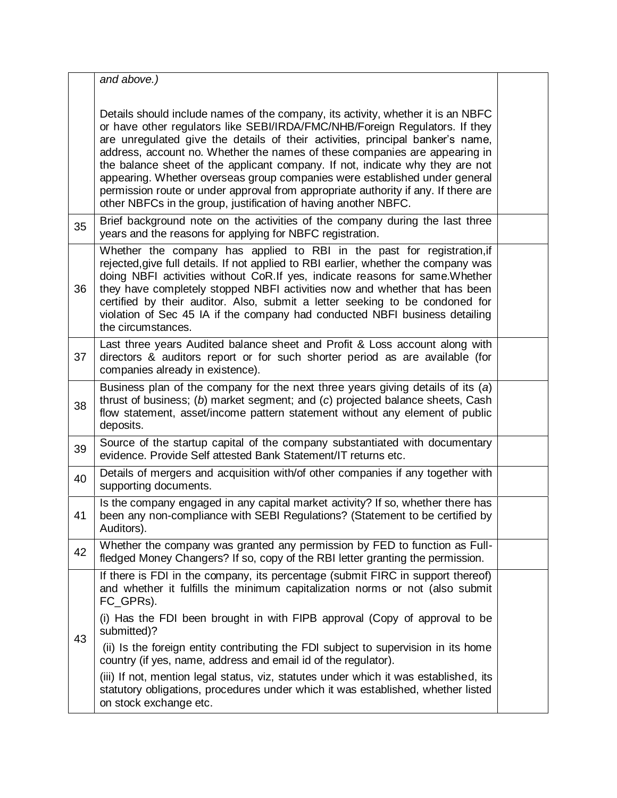|    | and above.)                                                                                                                                                                                                                                                                                                                                                                                                                                                                                                                                                                                                                                             |  |
|----|---------------------------------------------------------------------------------------------------------------------------------------------------------------------------------------------------------------------------------------------------------------------------------------------------------------------------------------------------------------------------------------------------------------------------------------------------------------------------------------------------------------------------------------------------------------------------------------------------------------------------------------------------------|--|
|    | Details should include names of the company, its activity, whether it is an NBFC<br>or have other regulators like SEBI/IRDA/FMC/NHB/Foreign Regulators. If they<br>are unregulated give the details of their activities, principal banker's name,<br>address, account no. Whether the names of these companies are appearing in<br>the balance sheet of the applicant company. If not, indicate why they are not<br>appearing. Whether overseas group companies were established under general<br>permission route or under approval from appropriate authority if any. If there are<br>other NBFCs in the group, justification of having another NBFC. |  |
| 35 | Brief background note on the activities of the company during the last three<br>years and the reasons for applying for NBFC registration.                                                                                                                                                                                                                                                                                                                                                                                                                                                                                                               |  |
| 36 | Whether the company has applied to RBI in the past for registration, if<br>rejected, give full details. If not applied to RBI earlier, whether the company was<br>doing NBFI activities without CoR.If yes, indicate reasons for same. Whether<br>they have completely stopped NBFI activities now and whether that has been<br>certified by their auditor. Also, submit a letter seeking to be condoned for<br>violation of Sec 45 IA if the company had conducted NBFI business detailing<br>the circumstances.                                                                                                                                       |  |
| 37 | Last three years Audited balance sheet and Profit & Loss account along with<br>directors & auditors report or for such shorter period as are available (for<br>companies already in existence).                                                                                                                                                                                                                                                                                                                                                                                                                                                         |  |
| 38 | Business plan of the company for the next three years giving details of its (a)<br>thrust of business; (b) market segment; and (c) projected balance sheets, Cash<br>flow statement, asset/income pattern statement without any element of public<br>deposits.                                                                                                                                                                                                                                                                                                                                                                                          |  |
| 39 | Source of the startup capital of the company substantiated with documentary<br>evidence. Provide Self attested Bank Statement/IT returns etc.                                                                                                                                                                                                                                                                                                                                                                                                                                                                                                           |  |
| 40 | Details of mergers and acquisition with/of other companies if any together with<br>supporting documents.                                                                                                                                                                                                                                                                                                                                                                                                                                                                                                                                                |  |
| 41 | Is the company engaged in any capital market activity? If so, whether there has<br>been any non-compliance with SEBI Regulations? (Statement to be certified by<br>Auditors).                                                                                                                                                                                                                                                                                                                                                                                                                                                                           |  |
| 42 | Whether the company was granted any permission by FED to function as Full-<br>fledged Money Changers? If so, copy of the RBI letter granting the permission.                                                                                                                                                                                                                                                                                                                                                                                                                                                                                            |  |
| 43 | If there is FDI in the company, its percentage (submit FIRC in support thereof)<br>and whether it fulfills the minimum capitalization norms or not (also submit<br>FC_GPRs).                                                                                                                                                                                                                                                                                                                                                                                                                                                                            |  |
|    | (i) Has the FDI been brought in with FIPB approval (Copy of approval to be<br>submitted)?                                                                                                                                                                                                                                                                                                                                                                                                                                                                                                                                                               |  |
|    | (ii) Is the foreign entity contributing the FDI subject to supervision in its home<br>country (if yes, name, address and email id of the regulator).                                                                                                                                                                                                                                                                                                                                                                                                                                                                                                    |  |
|    | (iii) If not, mention legal status, viz, statutes under which it was established, its<br>statutory obligations, procedures under which it was established, whether listed<br>on stock exchange etc.                                                                                                                                                                                                                                                                                                                                                                                                                                                     |  |